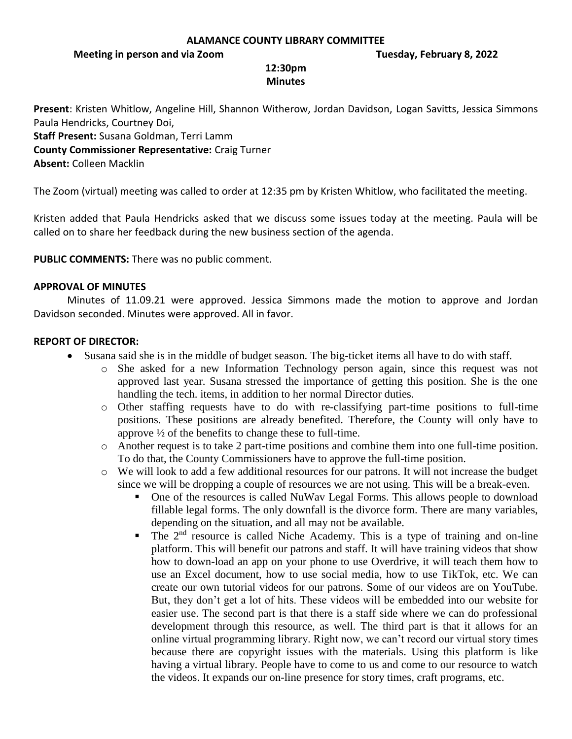### **ALAMANCE COUNTY LIBRARY COMMITTEE**

**Meeting in person and via Zoom Tuesday, February 8, 2022**

## **12:30pm Minutes**

**Present**: Kristen Whitlow, Angeline Hill, Shannon Witherow, Jordan Davidson, Logan Savitts, Jessica Simmons Paula Hendricks, Courtney Doi,

**Staff Present:** Susana Goldman, Terri Lamm

**County Commissioner Representative:** Craig Turner

**Absent:** Colleen Macklin

The Zoom (virtual) meeting was called to order at 12:35 pm by Kristen Whitlow, who facilitated the meeting.

Kristen added that Paula Hendricks asked that we discuss some issues today at the meeting. Paula will be called on to share her feedback during the new business section of the agenda.

**PUBLIC COMMENTS:** There was no public comment.

## **APPROVAL OF MINUTES**

Minutes of 11.09.21 were approved. Jessica Simmons made the motion to approve and Jordan Davidson seconded. Minutes were approved. All in favor.

# **REPORT OF DIRECTOR:**

- Susana said she is in the middle of budget season. The big-ticket items all have to do with staff.
	- o She asked for a new Information Technology person again, since this request was not approved last year. Susana stressed the importance of getting this position. She is the one handling the tech. items, in addition to her normal Director duties.
	- o Other staffing requests have to do with re-classifying part-time positions to full-time positions. These positions are already benefited. Therefore, the County will only have to approve ½ of the benefits to change these to full-time.
	- o Another request is to take 2 part-time positions and combine them into one full-time position. To do that, the County Commissioners have to approve the full-time position.
	- o We will look to add a few additional resources for our patrons. It will not increase the budget since we will be dropping a couple of resources we are not using. This will be a break-even.
		- One of the resources is called NuWav Legal Forms. This allows people to download fillable legal forms. The only downfall is the divorce form. There are many variables, depending on the situation, and all may not be available.
		- $\blacksquare$  The 2<sup>nd</sup> resource is called Niche Academy. This is a type of training and on-line platform. This will benefit our patrons and staff. It will have training videos that show how to down-load an app on your phone to use Overdrive, it will teach them how to use an Excel document, how to use social media, how to use TikTok, etc. We can create our own tutorial videos for our patrons. Some of our videos are on YouTube. But, they don't get a lot of hits. These videos will be embedded into our website for easier use. The second part is that there is a staff side where we can do professional development through this resource, as well. The third part is that it allows for an online virtual programming library. Right now, we can't record our virtual story times because there are copyright issues with the materials. Using this platform is like having a virtual library. People have to come to us and come to our resource to watch the videos. It expands our on-line presence for story times, craft programs, etc.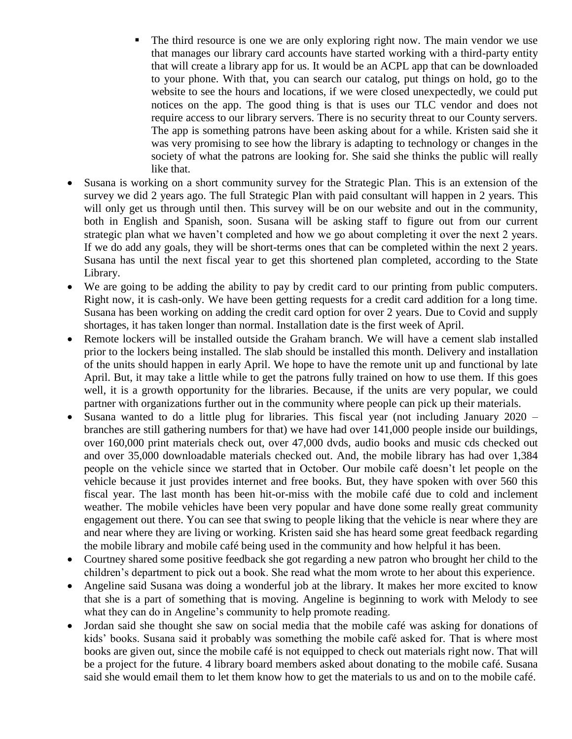- The third resource is one we are only exploring right now. The main vendor we use that manages our library card accounts have started working with a third-party entity that will create a library app for us. It would be an ACPL app that can be downloaded to your phone. With that, you can search our catalog, put things on hold, go to the website to see the hours and locations, if we were closed unexpectedly, we could put notices on the app. The good thing is that is uses our TLC vendor and does not require access to our library servers. There is no security threat to our County servers. The app is something patrons have been asking about for a while. Kristen said she it was very promising to see how the library is adapting to technology or changes in the society of what the patrons are looking for. She said she thinks the public will really like that.
- Susana is working on a short community survey for the Strategic Plan. This is an extension of the survey we did 2 years ago. The full Strategic Plan with paid consultant will happen in 2 years. This will only get us through until then. This survey will be on our website and out in the community, both in English and Spanish, soon. Susana will be asking staff to figure out from our current strategic plan what we haven't completed and how we go about completing it over the next 2 years. If we do add any goals, they will be short-terms ones that can be completed within the next 2 years. Susana has until the next fiscal year to get this shortened plan completed, according to the State Library.
- We are going to be adding the ability to pay by credit card to our printing from public computers. Right now, it is cash-only. We have been getting requests for a credit card addition for a long time. Susana has been working on adding the credit card option for over 2 years. Due to Covid and supply shortages, it has taken longer than normal. Installation date is the first week of April.
- Remote lockers will be installed outside the Graham branch. We will have a cement slab installed prior to the lockers being installed. The slab should be installed this month. Delivery and installation of the units should happen in early April. We hope to have the remote unit up and functional by late April. But, it may take a little while to get the patrons fully trained on how to use them. If this goes well, it is a growth opportunity for the libraries. Because, if the units are very popular, we could partner with organizations further out in the community where people can pick up their materials.
- Susana wanted to do a little plug for libraries. This fiscal year (not including January 2020 branches are still gathering numbers for that) we have had over 141,000 people inside our buildings, over 160,000 print materials check out, over 47,000 dvds, audio books and music cds checked out and over 35,000 downloadable materials checked out. And, the mobile library has had over 1,384 people on the vehicle since we started that in October. Our mobile café doesn't let people on the vehicle because it just provides internet and free books. But, they have spoken with over 560 this fiscal year. The last month has been hit-or-miss with the mobile café due to cold and inclement weather. The mobile vehicles have been very popular and have done some really great community engagement out there. You can see that swing to people liking that the vehicle is near where they are and near where they are living or working. Kristen said she has heard some great feedback regarding the mobile library and mobile café being used in the community and how helpful it has been.
- Courtney shared some positive feedback she got regarding a new patron who brought her child to the children's department to pick out a book. She read what the mom wrote to her about this experience.
- Angeline said Susana was doing a wonderful job at the library. It makes her more excited to know that she is a part of something that is moving. Angeline is beginning to work with Melody to see what they can do in Angeline's community to help promote reading.
- Jordan said she thought she saw on social media that the mobile café was asking for donations of kids' books. Susana said it probably was something the mobile café asked for. That is where most books are given out, since the mobile café is not equipped to check out materials right now. That will be a project for the future. 4 library board members asked about donating to the mobile café. Susana said she would email them to let them know how to get the materials to us and on to the mobile café.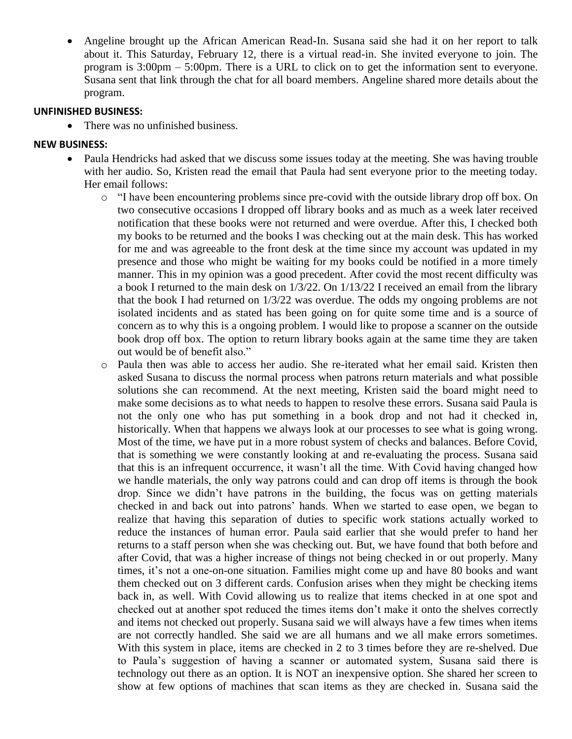• Angeline brought up the African American Read-In. Susana said she had it on her report to talk about it. This Saturday, February 12, there is a virtual read-in. She invited everyone to join. The program is 3:00pm – 5:00pm. There is a URL to click on to get the information sent to everyone. Susana sent that link through the chat for all board members. Angeline shared more details about the program.

## **UNFINISHED BUSINESS:**

• There was no unfinished business.

## **NEW BUSINESS:**

- Paula Hendricks had asked that we discuss some issues today at the meeting. She was having trouble with her audio. So, Kristen read the email that Paula had sent everyone prior to the meeting today. Her email follows:
	- $\circ$  "I have been encountering problems since pre-covid with the outside library drop off box. On two consecutive occasions I dropped off library books and as much as a week later received notification that these books were not returned and were overdue. After this, I checked both my books to be returned and the books I was checking out at the main desk. This has worked for me and was agreeable to the front desk at the time since my account was updated in my presence and those who might be waiting for my books could be notified in a more timely manner. This in my opinion was a good precedent. After covid the most recent difficulty was a book I returned to the main desk on 1/3/22. On 1/13/22 I received an email from the library that the book I had returned on 1/3/22 was overdue. The odds my ongoing problems are not isolated incidents and as stated has been going on for quite some time and is a source of concern as to why this is a ongoing problem. I would like to propose a scanner on the outside book drop off box. The option to return library books again at the same time they are taken out would be of benefit also."
	- o Paula then was able to access her audio. She re-iterated what her email said. Kristen then asked Susana to discuss the normal process when patrons return materials and what possible solutions she can recommend. At the next meeting, Kristen said the board might need to make some decisions as to what needs to happen to resolve these errors. Susana said Paula is not the only one who has put something in a book drop and not had it checked in, historically. When that happens we always look at our processes to see what is going wrong. Most of the time, we have put in a more robust system of checks and balances. Before Covid, that is something we were constantly looking at and re-evaluating the process. Susana said that this is an infrequent occurrence, it wasn't all the time. With Covid having changed how we handle materials, the only way patrons could and can drop off items is through the book drop. Since we didn't have patrons in the building, the focus was on getting materials checked in and back out into patrons' hands. When we started to ease open, we began to realize that having this separation of duties to specific work stations actually worked to reduce the instances of human error. Paula said earlier that she would prefer to hand her returns to a staff person when she was checking out. But, we have found that both before and after Covid, that was a higher increase of things not being checked in or out properly. Many times, it's not a one-on-one situation. Families might come up and have 80 books and want them checked out on 3 different cards. Confusion arises when they might be checking items back in, as well. With Covid allowing us to realize that items checked in at one spot and checked out at another spot reduced the times items don't make it onto the shelves correctly and items not checked out properly. Susana said we will always have a few times when items are not correctly handled. She said we are all humans and we all make errors sometimes. With this system in place, items are checked in 2 to 3 times before they are re-shelved. Due to Paula's suggestion of having a scanner or automated system, Susana said there is technology out there as an option. It is NOT an inexpensive option. She shared her screen to show at few options of machines that scan items as they are checked in. Susana said the